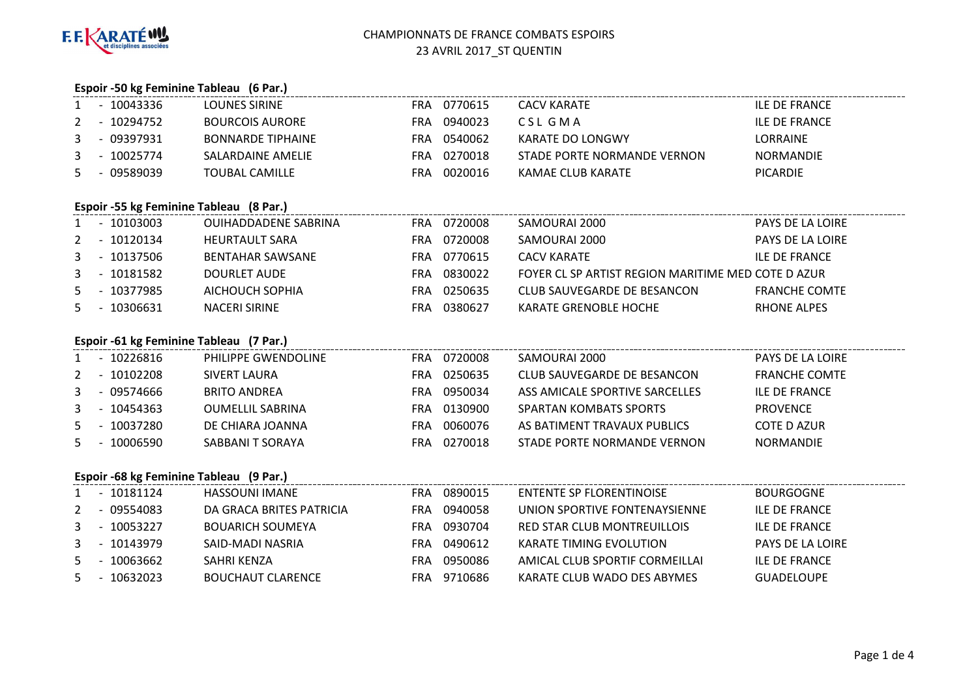

# **Espoir -50 kg Feminine Tableau (6 Par.)**

| $\mathbf{1}$ | $-10043336$                             | <b>LOUNES SIRINE</b>        | FRA 0770615 | <b>CACV KARATE</b>                                 | ILE DE FRANCE           |
|--------------|-----------------------------------------|-----------------------------|-------------|----------------------------------------------------|-------------------------|
| 2            | - 10294752                              | <b>BOURCOIS AURORE</b>      | FRA 0940023 | CSL GMA                                            | <b>ILE DE FRANCE</b>    |
| 3            | $-09397931$                             | <b>BONNARDE TIPHAINE</b>    | FRA 0540062 | KARATE DO LONGWY                                   | <b>LORRAINE</b>         |
| 3            | - 10025774                              | SALARDAINE AMELIE           | FRA 0270018 | STADE PORTE NORMANDE VERNON                        | <b>NORMANDIE</b>        |
| 5.           | - 09589039                              | <b>TOUBAL CAMILLE</b>       | FRA 0020016 | KAMAE CLUB KARATE                                  | <b>PICARDIE</b>         |
|              | Espoir -55 kg Feminine Tableau (8 Par.) |                             |             |                                                    |                         |
|              | 1 - 10103003                            | <b>OUIHADDADENE SABRINA</b> | FRA 0720008 | SAMOURAI 2000                                      | <b>PAYS DE LA LOIRE</b> |
| 2            | - 10120134                              | <b>HEURTAULT SARA</b>       | FRA 0720008 | SAMOURAI 2000                                      | <b>PAYS DE LA LOIRE</b> |
|              | 3 - 10137506                            | <b>BENTAHAR SAWSANE</b>     | FRA 0770615 | <b>CACV KARATE</b>                                 | <b>ILE DE FRANCE</b>    |
|              | $3 - 10181582$                          | <b>DOURLET AUDE</b>         | FRA 0830022 | FOYER CL SP ARTIST REGION MARITIME MED COTE D AZUR |                         |
|              | 5 - 10377985                            | AICHOUCH SOPHIA             | FRA 0250635 | CLUB SAUVEGARDE DE BESANCON                        | <b>FRANCHE COMTE</b>    |
| 5.           | - 10306631                              | <b>NACERI SIRINE</b>        | FRA 0380627 | KARATE GRENOBLE HOCHE                              | RHONE ALPES             |
|              | Espoir -61 kg Feminine Tableau (7 Par.) |                             |             |                                                    |                         |
|              | - 10226816                              | PHILIPPE GWENDOLINE         | FRA 0720008 | SAMOURAI 2000                                      | PAYS DE LA LOIRE        |
| 2            | - 10102208                              | SIVERT LAURA                | FRA 0250635 | CLUB SAUVEGARDE DE BESANCON                        | <b>FRANCHE COMTE</b>    |
| 3            | - 09574666                              | <b>BRITO ANDREA</b>         | FRA 0950034 | ASS AMICALE SPORTIVE SARCELLES                     | <b>ILE DE FRANCE</b>    |
| 3            | - 10454363                              | <b>OUMELLIL SABRINA</b>     | FRA 0130900 | SPARTAN KOMBATS SPORTS                             | <b>PROVENCE</b>         |

|   | ---------- | _ _ _ _ _        |      |         |                             | .                  |
|---|------------|------------------|------|---------|-----------------------------|--------------------|
| 5 | - 10037280 | DE CHIARA JOANNA | FRA. | 0060076 | AS BATIMENT TRAVAUX PUBLICS | <b>COTE D AZUR</b> |
|   | 10006590   | SABBANI T SORAYA | FRA  | 0270018 | STADE PORTE NORMANDE VERNON | <b>NORMANDIE</b>   |

# **Espoir -68 kg Feminine Tableau (9 Par.)**

|   | espoir -oo kg reminine Tableau (9 Par.) |            |                          |     |         |                                |                      |
|---|-----------------------------------------|------------|--------------------------|-----|---------|--------------------------------|----------------------|
|   |                                         | 10181124   | <b>HASSOUNI IMANE</b>    | FRA | 0890015 | ENTENTE SP FLORENTINOISE       | <b>BOURGOGNE</b>     |
| 2 |                                         | - 09554083 | DA GRACA BRITES PATRICIA | FRA | 0940058 | UNION SPORTIVE FONTENAYSIENNE  | <b>ILE DE FRANCE</b> |
| 3 |                                         | 10053227   | <b>BOUARICH SOUMEYA</b>  | FRA | 0930704 | RED STAR CLUB MONTREUILLOIS    | <b>ILE DE FRANCE</b> |
| 3 | $\overline{\phantom{0}}$                | 10143979   | SAID-MADI NASRIA         | FRA | 0490612 | KARATE TIMING EVOLUTION        | PAYS DE LA LOIRE     |
| 5 |                                         | 10063662   | SAHRI KENZA              | FRA | 0950086 | AMICAL CLUB SPORTIF CORMEILLAI | <b>ILE DE FRANCE</b> |
| 5 |                                         | 10632023   | <b>BOUCHAUT CLARENCE</b> | FRA | 9710686 | KARATE CLUB WADO DES ABYMES    | <b>GUADELOUPE</b>    |
|   |                                         |            |                          |     |         |                                |                      |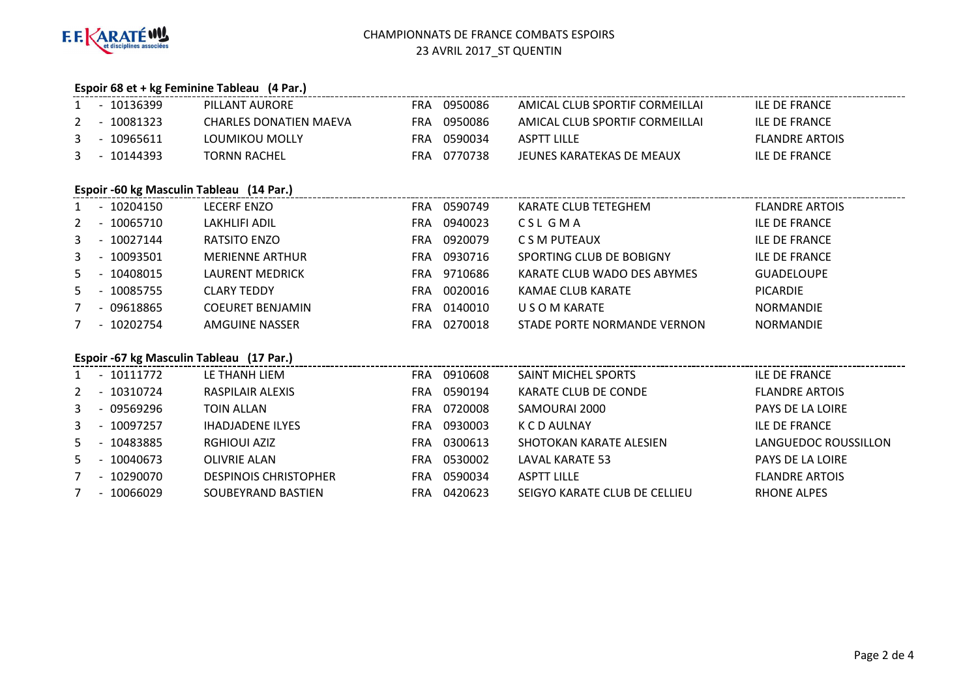

3 - 10097257

7 - 10290070

7 - 10066029

5 - <sup>10040673</sup> OLIVRIE ALAN

## CHAMPIONNATS DE FRANCE COMBATS ESPOIRS23 AVRIL 2017\_ST QUENTIN

## **Espoir 68 et + kg Feminine Tableau (4 Par.)**

| $\mathbf{1}$   | - 10136399   | PILLANT AURORE                           | FRA 0950086 | AMICAL CLUB SPORTIF CORMEILLAI | <b>ILE DE FRANCE</b>  |
|----------------|--------------|------------------------------------------|-------------|--------------------------------|-----------------------|
| 2              | - 10081323   | <b>CHARLES DONATIEN MAEVA</b>            | FRA 0950086 | AMICAL CLUB SPORTIF CORMEILLAI | <b>ILE DE FRANCE</b>  |
| 3              | $-10965611$  | LOUMIKOU MOLLY                           | FRA 0590034 | <b>ASPTT LILLE</b>             | <b>FLANDRE ARTOIS</b> |
| 3              | - 10144393   | <b>TORNN RACHEL</b>                      | FRA 0770738 | JEUNES KARATEKAS DE MEAUX      | <b>ILE DE FRANCE</b>  |
|                |              | Espoir -60 kg Masculin Tableau (14 Par.) |             |                                |                       |
|                | 1 - 10204150 | LECERF ENZO                              | FRA 0590749 | KARATE CLUB TETEGHEM           | <b>FLANDRE ARTOIS</b> |
| 2              | - 10065710   | LAKHLIFI ADIL                            | FRA 0940023 | CSL GMA                        | <b>ILE DE FRANCE</b>  |
| 3              | - 10027144   | RATSITO ENZO                             | FRA 0920079 | C S M PUTEAUX                  | <b>ILE DE FRANCE</b>  |
| 3              | - 10093501   | <b>MERIENNE ARTHUR</b>                   | FRA 0930716 | SPORTING CLUB DE BOBIGNY       | <b>ILE DE FRANCE</b>  |
| 5.             | - 10408015   | LAURENT MEDRICK                          | FRA 9710686 | KARATE CLUB WADO DES ABYMES    | <b>GUADELOUPE</b>     |
| 5.             | - 10085755   | <b>CLARY TEDDY</b>                       | FRA 0020016 | KAMAE CLUB KARATE              | <b>PICARDIE</b>       |
| $\overline{7}$ | - 09618865   | <b>COEURET BENJAMIN</b>                  | FRA 0140010 | U S O M KARATE                 | <b>NORMANDIE</b>      |
|                | 7 - 10202754 | AMGUINE NASSER                           | FRA 0270018 | STADE PORTE NORMANDE VERNON    | <b>NORMANDIE</b>      |
|                |              | Espoir -67 kg Masculin Tableau (17 Par.) |             |                                |                       |
|                | 1 - 10111772 | LE THANH LIEM                            | FRA 0910608 | SAINT MICHEL SPORTS            | <b>ILE DE FRANCE</b>  |
| 2              | - 10310724   | RASPILAIR ALEXIS                         | FRA 0590194 | KARATE CLUB DE CONDE           | <b>FLANDRE ARTOIS</b> |
| 3              | - 09569296   | <b>TOIN ALLAN</b>                        | FRA 0720008 | SAMOURAI 2000                  | PAYS DE LA LOIRE      |

FRA 0590034<br>FRA 0420623

FRA 0300613 SHOTOKAN KARATE ALESIEN<br>FRA 0530002 LAVAL KARATE 53

FRA <sup>0530002</sup> LAVAL KARATE 53 PAYS DE LA LOIRE

SEIGYO KARATE CLUB DE CELLIEU

K C D AULNAY ILE DE FRANCE

ASPTT LILLE<br>
SEIGYO KARATE CLUB DE CELLIEU

SEIGYO KARATE CLUB DE CELLIEU

BHONE ALPES

THADJADENE ILYES<br>RGHIOUI AZIZ TRANGERA 10300613

5 - <sup>10483885</sup> RGHIOUI AZIZ FRA

DESPINOIS CHRISTOPHER

SOUBEYRAND BASTIEN

LANGUEDOC ROUSSILLON<br>PAYS DE LA LOIRE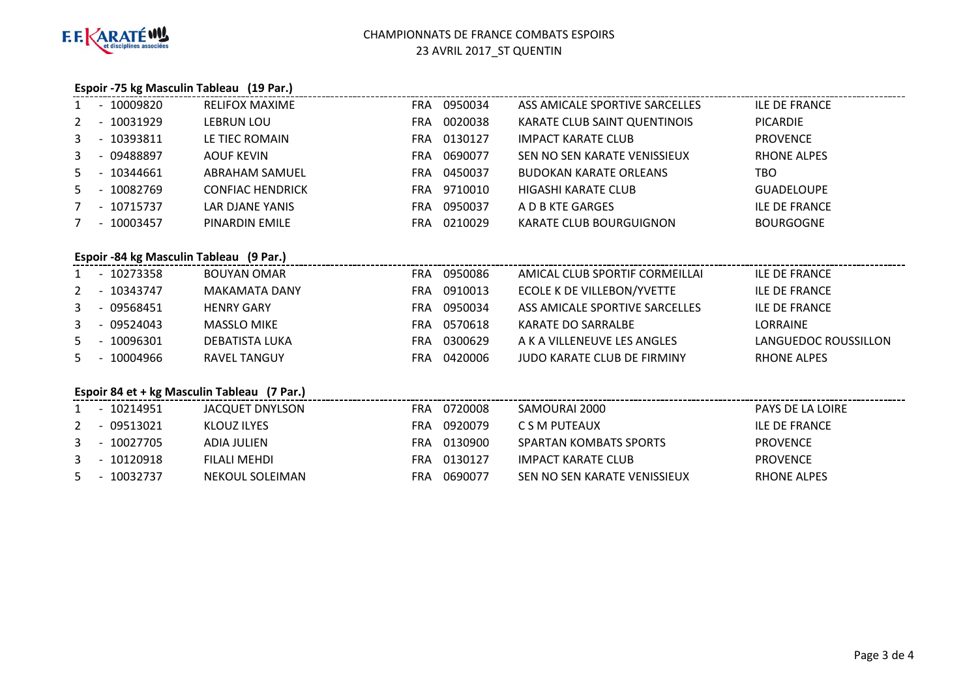

#### **Espoir -75 kg Masculin Tableau (19 Par.)**

|                |                          | - 10009820                              | <b>RELIFOX MAXIME</b>   | FRA        | 0950034     | ASS AMICALE SPORTIVE SARCELLES | <b>ILE DE FRANCE</b> |
|----------------|--------------------------|-----------------------------------------|-------------------------|------------|-------------|--------------------------------|----------------------|
| 2              |                          | - 10031929                              | LEBRUN LOU              | FRA .      | 0020038     | KARATE CLUB SAINT QUENTINOIS   | <b>PICARDIE</b>      |
| 3              |                          | - 10393811                              | LE TIEC ROMAIN          |            | FRA 0130127 | <b>IMPACT KARATE CLUB</b>      | <b>PROVENCE</b>      |
| 3              |                          | - 09488897                              | AOUF KEVIN              | FRA        | 0690077     | SEN NO SEN KARATE VENISSIEUX   | <b>RHONE ALPES</b>   |
| 5              |                          | - 10344661                              | <b>ABRAHAM SAMUEL</b>   | <b>FRA</b> | 0450037     | <b>BUDOKAN KARATE ORLEANS</b>  | TBO.                 |
| 5.             | $\sim$                   | 10082769                                | <b>CONFIAC HENDRICK</b> |            | FRA 9710010 | HIGASHI KARATE CLUB            | <b>GUADELOUPE</b>    |
|                |                          | 7 - 10715737                            | LAR DJANE YANIS         |            | FRA 0950037 | A D B KTE GARGES               | <b>ILE DE FRANCE</b> |
| $\overline{7}$ |                          | $-10003457$                             | PINARDIN EMILE          | <b>FRA</b> | 0210029     | KARATE CLUB BOURGUIGNON        | <b>BOURGOGNE</b>     |
|                |                          |                                         |                         |            |             |                                |                      |
|                |                          | Espoir -84 kg Masculin Tableau (9 Par.) |                         |            |             |                                |                      |
| $1 \quad$      |                          | $-10273358$                             | <b>BOUYAN OMAR</b>      | FRA        | 0950086     | AMICAL CLUB SPORTIF CORMEILLAI | <b>ILE DE FRANCE</b> |
| 2              |                          | - 10343747                              | MAKAMATA DANY           |            | FRA 0910013 | ECOLE K DE VILLEBON/YVETTE     | <b>ILE DE FRANCE</b> |
| 3              |                          | $-09568451$                             | <b>HENRY GARY</b>       | <b>FRA</b> | 0950034     | ASS AMICALE SPORTIVE SARCELLES | <b>ILE DE FRANCE</b> |
| $\mathbf{3}$   | $\overline{\phantom{a}}$ | 09524043                                | <b>MASSLO MIKE</b>      | FRA        | 0570618     | KARATE DO SARRALBE             | <b>LORRAINE</b>      |
| 5.             |                          | 10096301                                | DEBATISTA LUKA          | FRA        | 0300629     | A K A VILLENEUVE LES ANGLES    | LANGUEDOC ROUSSILLON |
| 5              |                          | $-10004966$                             | <b>RAVEL TANGUY</b>     |            | FRA 0420006 | JUDO KARATE CLUB DE FIRMINY    | <b>RHONE ALPES</b>   |

#### **Espoir 84 et + kg Masculin Tableau (7 Par.)**

|  | 1 - 10214951 | JACQUET DNYLSON | FRA | 0720008 | SAMOURAI 2000                | <b>PAYS DE LA LOIRE</b> |
|--|--------------|-----------------|-----|---------|------------------------------|-------------------------|
|  | 2 - 09513021 | KLOUZ ILYES     | FRA | 0920079 | C S M PUTEAUX                | ILE DE FRANCE           |
|  | 3 - 10027705 | ADIA JULIEN     | FRA | 0130900 | SPARTAN KOMBATS SPORTS       | <b>PROVENCE</b>         |
|  | 3 - 10120918 | FILALI MEHDI    | FRA | 0130127 | IMPACT KARATE CLUB           | <b>PROVENCE</b>         |
|  | 5 - 10032737 | NEKOUL SOLEIMAN | FRA | 0690077 | SEN NO SEN KARATE VENISSIEUX | RHONE ALPES             |